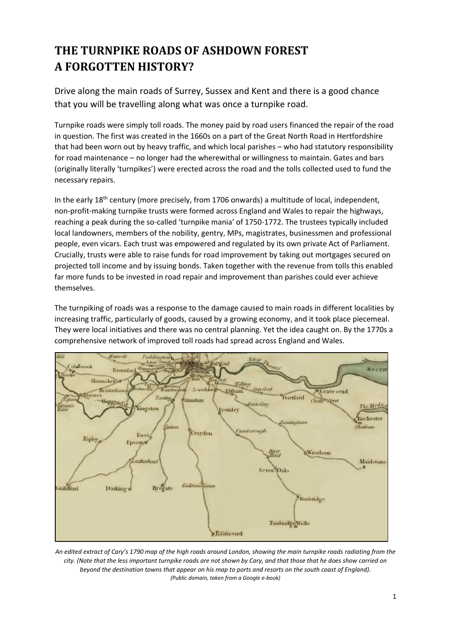# **THE TURNPIKE ROADS OF ASHDOWN FOREST A FORGOTTEN HISTORY?**

Drive along the main roads of Surrey, Sussex and Kent and there is a good chance that you will be travelling along what was once a turnpike road.

Turnpike roads were simply toll roads. The money paid by road users financed the repair of the road in question. The first was created in the 1660s on a part of the Great North Road in Hertfordshire that had been worn out by heavy traffic, and which local parishes – who had statutory responsibility for road maintenance – no longer had the wherewithal or willingness to maintain. Gates and bars (originally literally 'turnpikes') were erected across the road and the tolls collected used to fund the necessary repairs.

In the early  $18<sup>th</sup>$  century (more precisely, from 1706 onwards) a multitude of local, independent, non-profit-making turnpike trusts were formed across England and Wales to repair the highways, reaching a peak during the so-called 'turnpike mania' of 1750-1772. The trustees typically included local landowners, members of the nobility, gentry, MPs, magistrates, businessmen and professional people, even vicars. Each trust was empowered and regulated by its own private Act of Parliament. Crucially, trusts were able to raise funds for road improvement by taking out mortgages secured on projected toll income and by issuing bonds. Taken together with the revenue from tolls this enabled far more funds to be invested in road repair and improvement than parishes could ever achieve themselves.

The turnpiking of roads was a response to the damage caused to main roads in different localities by increasing traffic, particularly of goods, caused by a growing economy, and it took place piecemeal. They were local initiatives and there was no central planning. Yet the idea caught on. By the 1770s a comprehensive network of improved toll roads had spread across England and Wales.



*An edited extract of Cary's 1790 map of the high roads around London, showing the main turnpike roads radiating from the city. (Note that the less important turnpike roads are not shown by Cary, and that those that he does show carried on beyond the destination towns that appear on his map to ports and resorts on the south coast of England). (Public domain, taken from a Google e-book)*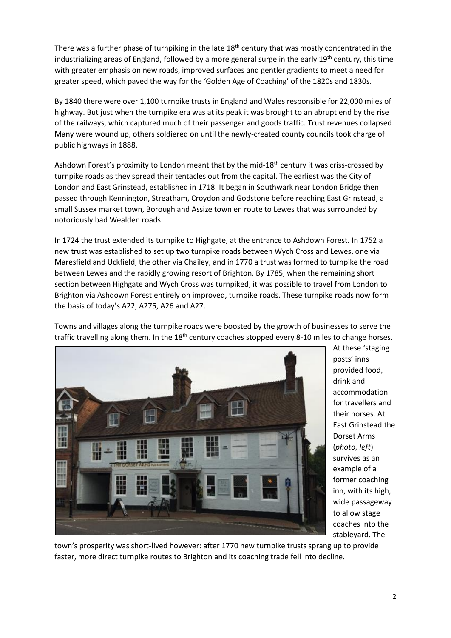There was a further phase of turnpiking in the late 18<sup>th</sup> century that was mostly concentrated in the industrializing areas of England, followed by a more general surge in the early  $19<sup>th</sup>$  century, this time with greater emphasis on new roads, improved surfaces and gentler gradients to meet a need for greater speed, which paved the way for the 'Golden Age of Coaching' of the 1820s and 1830s.

By 1840 there were over 1,100 turnpike trusts in England and Wales responsible for 22,000 miles of highway. But just when the turnpike era was at its peak it was brought to an abrupt end by the rise of the railways, which captured much of their passenger and goods traffic. Trust revenues collapsed. Many were wound up, others soldiered on until the newly-created county councils took charge of public highways in 1888.

Ashdown Forest's proximity to London meant that by the mid-18<sup>th</sup> century it was criss-crossed by turnpike roads as they spread their tentacles out from the capital. The earliest was the City of London and East Grinstead, established in 1718. It began in Southwark near London Bridge then passed through Kennington, Streatham, Croydon and Godstone before reaching East Grinstead, a small Sussex market town, Borough and Assize town en route to Lewes that was surrounded by notoriously bad Wealden roads.

In 1724 the trust extended its turnpike to Highgate, at the entrance to Ashdown Forest. In 1752 a new trust was established to set up two turnpike roads between Wych Cross and Lewes, one via Maresfield and Uckfield, the other via Chailey, and in 1770 a trust was formed to turnpike the road between Lewes and the rapidly growing resort of Brighton. By 1785, when the remaining short section between Highgate and Wych Cross was turnpiked, it was possible to travel from London to Brighton via Ashdown Forest entirely on improved, turnpike roads. These turnpike roads now form the basis of today's A22, A275, A26 and A27.

Towns and villages along the turnpike roads were boosted by the growth of businesses to serve the traffic travelling along them. In the 18<sup>th</sup> century coaches stopped every 8-10 miles to change horses.



At these 'staging posts' inns provided food, drink and accommodation for travellers and their horses. At East Grinstead the Dorset Arms (*photo, left*) survives as an example of a former coaching inn, with its high, wide passageway to allow stage coaches into the stableyard. The

town's prosperity was short-lived however: after 1770 new turnpike trusts sprang up to provide faster, more direct turnpike routes to Brighton and its coaching trade fell into decline.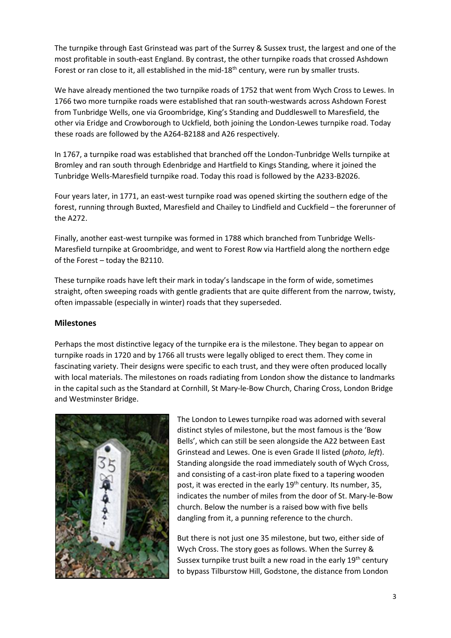The turnpike through East Grinstead was part of the Surrey & Sussex trust, the largest and one of the most profitable in south-east England. By contrast, the other turnpike roads that crossed Ashdown Forest or ran close to it, all established in the mid-18<sup>th</sup> century, were run by smaller trusts.

We have already mentioned the two turnpike roads of 1752 that went from Wych Cross to Lewes. In 1766 two more turnpike roads were established that ran south-westwards across Ashdown Forest from Tunbridge Wells, one via Groombridge, King's Standing and Duddleswell to Maresfield, the other via Eridge and Crowborough to Uckfield, both joining the London-Lewes turnpike road. Today these roads are followed by the A264-B2188 and A26 respectively.

In 1767, a turnpike road was established that branched off the London-Tunbridge Wells turnpike at Bromley and ran south through Edenbridge and Hartfield to Kings Standing, where it joined the Tunbridge Wells-Maresfield turnpike road. Today this road is followed by the A233-B2026.

Four years later, in 1771, an east-west turnpike road was opened skirting the southern edge of the forest, running through Buxted, Maresfield and Chailey to Lindfield and Cuckfield – the forerunner of the A272.

Finally, another east-west turnpike was formed in 1788 which branched from Tunbridge Wells-Maresfield turnpike at Groombridge, and went to Forest Row via Hartfield along the northern edge of the Forest – today the B2110.

These turnpike roads have left their mark in today's landscape in the form of wide, sometimes straight, often sweeping roads with gentle gradients that are quite different from the narrow, twisty, often impassable (especially in winter) roads that they superseded.

#### **Milestones**

Perhaps the most distinctive legacy of the turnpike era is the milestone. They began to appear on turnpike roads in 1720 and by 1766 all trusts were legally obliged to erect them. They come in fascinating variety. Their designs were specific to each trust, and they were often produced locally with local materials. The milestones on roads radiating from London show the distance to landmarks in the capital such as the Standard at Cornhill, St Mary-le-Bow Church, Charing Cross, London Bridge and Westminster Bridge.



The London to Lewes turnpike road was adorned with several distinct styles of milestone, but the most famous is the 'Bow Bells', which can still be seen alongside the A22 between East Grinstead and Lewes. One is even Grade II listed (*photo, left*). Standing alongside the road immediately south of Wych Cross, and consisting of a cast-iron plate fixed to a tapering wooden post, it was erected in the early 19<sup>th</sup> century. Its number, 35, indicates the number of miles from the door of St. Mary-le-Bow church. Below the number is a raised bow with five bells dangling from it, a punning reference to the church.

But there is not just one 35 milestone, but two, either side of Wych Cross. The story goes as follows. When the Surrey & Sussex turnpike trust built a new road in the early 19<sup>th</sup> century to bypass Tilburstow Hill, Godstone, the distance from London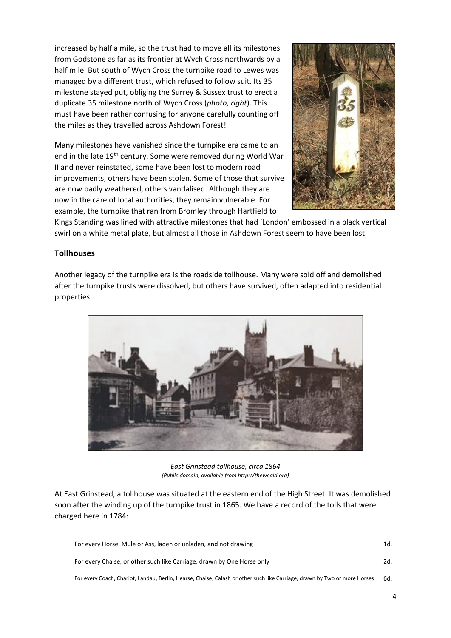increased by half a mile, so the trust had to move all its milestones from Godstone as far as its frontier at Wych Cross northwards by a half mile. But south of Wych Cross the turnpike road to Lewes was managed by a different trust, which refused to follow suit. Its 35 milestone stayed put, obliging the Surrey & Sussex trust to erect a duplicate 35 milestone north of Wych Cross (*photo, right*). This must have been rather confusing for anyone carefully counting off the miles as they travelled across Ashdown Forest!

Many milestones have vanished since the turnpike era came to an end in the late 19<sup>th</sup> century. Some were removed during World War II and never reinstated, some have been lost to modern road improvements, others have been stolen. Some of those that survive are now badly weathered, others vandalised. Although they are now in the care of local authorities, they remain vulnerable. For example, the turnpike that ran from Bromley through Hartfield to



Kings Standing was lined with attractive milestones that had 'London' embossed in a black vertical swirl on a white metal plate, but almost all those in Ashdown Forest seem to have been lost.

#### **Tollhouses**

Another legacy of the turnpike era is the roadside tollhouse. Many were sold off and demolished after the turnpike trusts were dissolved, but others have survived, often adapted into residential properties.



*East Grinstead tollhouse, circa 1864 (Public domain, available from http://theweald.org)*

At East Grinstead, a tollhouse was situated at the eastern end of the High Street. It was demolished soon after the winding up of the turnpike trust in 1865. We have a record of the tolls that were charged here in 1784:

| For every Horse, Mule or Ass, laden or unladen, and not drawing                                                           | 1d. |
|---------------------------------------------------------------------------------------------------------------------------|-----|
| For every Chaise, or other such like Carriage, drawn by One Horse only                                                    | 2d. |
| For every Coach, Chariot, Landau, Berlin, Hearse, Chaise, Calash or other such like Carriage, drawn by Two or more Horses | .6d |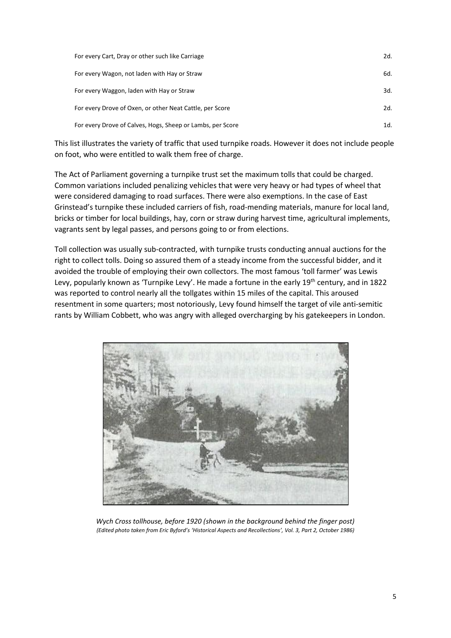| For every Cart, Dray or other such like Carriage           | 2d. |
|------------------------------------------------------------|-----|
| For every Wagon, not laden with Hay or Straw               | 6d. |
| For every Waggon, laden with Hay or Straw                  | 3d. |
| For every Drove of Oxen, or other Neat Cattle, per Score   | 2d. |
| For every Drove of Calves, Hogs, Sheep or Lambs, per Score | 1d. |

This list illustrates the variety of traffic that used turnpike roads. However it does not include people on foot, who were entitled to walk them free of charge.

The Act of Parliament governing a turnpike trust set the maximum tolls that could be charged. Common variations included penalizing vehicles that were very heavy or had types of wheel that were considered damaging to road surfaces. There were also exemptions. In the case of East Grinstead's turnpike these included carriers of fish, road-mending materials, manure for local land, bricks or timber for local buildings, hay, corn or straw during harvest time, agricultural implements, vagrants sent by legal passes, and persons going to or from elections.

Toll collection was usually sub-contracted, with turnpike trusts conducting annual auctions for the right to collect tolls. Doing so assured them of a steady income from the successful bidder, and it avoided the trouble of employing their own collectors. The most famous 'toll farmer' was Lewis Levy, popularly known as 'Turnpike Levy'. He made a fortune in the early 19<sup>th</sup> century, and in 1822 was reported to control nearly all the tollgates within 15 miles of the capital. This aroused resentment in some quarters; most notoriously, Levy found himself the target of vile anti-semitic rants by William Cobbett, who was angry with alleged overcharging by his gatekeepers in London.



*Wych Cross tollhouse, before 1920 (shown in the background behind the finger post) (Edited photo taken from Eric Byford's 'Historical Aspects and Recollections', Vol. 3, Part 2, October 1986)*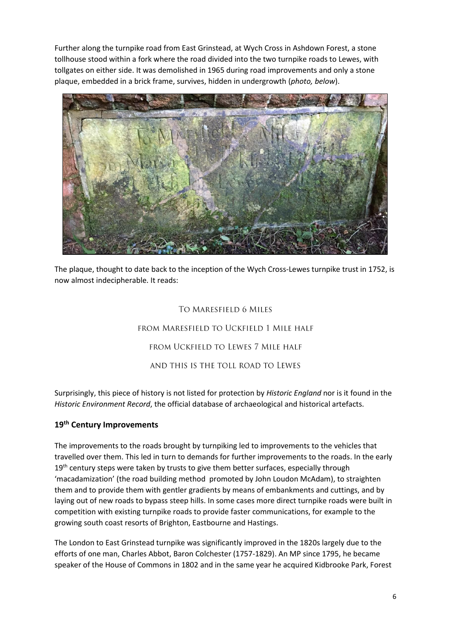Further along the turnpike road from East Grinstead, at Wych Cross in Ashdown Forest, a stone tollhouse stood within a fork where the road divided into the two turnpike roads to Lewes, with tollgates on either side. It was demolished in 1965 during road improvements and only a stone plaque, embedded in a brick frame, survives, hidden in undergrowth (*photo, below*).



The plaque, thought to date back to the inception of the Wych Cross-Lewes turnpike trust in 1752, is now almost indecipherable. It reads:

### TO MARESFIELD 6 MILES

# FROM MARESFIELD TO UCKFIELD 1 MILE HALF FROM UCKFIELD TO LEWES 7 MILE HALF AND THIS IS THE TOLL ROAD TO LEWES

Surprisingly, this piece of history is not listed for protection by *Historic England* nor is it found in the *Historic Environment Record*, the official database of archaeological and historical artefacts.

## **19th Century Improvements**

The improvements to the roads brought by turnpiking led to improvements to the vehicles that travelled over them. This led in turn to demands for further improvements to the roads. In the early 19<sup>th</sup> century steps were taken by trusts to give them better surfaces, especially through 'macadamization' (the road building method promoted by John Loudon McAdam), to straighten them and to provide them with gentler gradients by means of embankments and cuttings, and by laying out of new roads to bypass steep hills. In some cases more direct turnpike roads were built in competition with existing turnpike roads to provide faster communications, for example to the growing south coast resorts of Brighton, Eastbourne and Hastings.

The London to East Grinstead turnpike was significantly improved in the 1820s largely due to the efforts of one man, Charles Abbot, Baron Colchester (1757-1829). An MP since 1795, he became speaker of the House of Commons in 1802 and in the same year he acquired Kidbrooke Park, Forest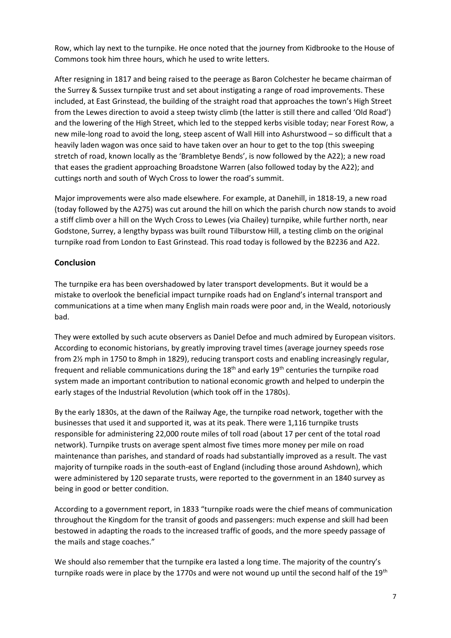Row, which lay next to the turnpike. He once noted that the journey from Kidbrooke to the House of Commons took him three hours, which he used to write letters.

After resigning in 1817 and being raised to the peerage as Baron Colchester he became chairman of the Surrey & Sussex turnpike trust and set about instigating a range of road improvements. These included, at East Grinstead, the building of the straight road that approaches the town's High Street from the Lewes direction to avoid a steep twisty climb (the latter is still there and called 'Old Road') and the lowering of the High Street, which led to the stepped kerbs visible today; near Forest Row, a new mile-long road to avoid the long, steep ascent of Wall Hill into Ashurstwood – so difficult that a heavily laden wagon was once said to have taken over an hour to get to the top (this sweeping stretch of road, known locally as the 'Brambletye Bends', is now followed by the A22); a new road that eases the gradient approaching Broadstone Warren (also followed today by the A22); and cuttings north and south of Wych Cross to lower the road's summit.

Major improvements were also made elsewhere. For example, at Danehill, in 1818-19, a new road (today followed by the A275) was cut around the hill on which the parish church now stands to avoid a stiff climb over a hill on the Wych Cross to Lewes (via Chailey) turnpike, while further north, near Godstone, Surrey, a lengthy bypass was built round Tilburstow Hill, a testing climb on the original turnpike road from London to East Grinstead. This road today is followed by the B2236 and A22.

### **Conclusion**

The turnpike era has been overshadowed by later transport developments. But it would be a mistake to overlook the beneficial impact turnpike roads had on England's internal transport and communications at a time when many English main roads were poor and, in the Weald, notoriously bad.

They were extolled by such acute observers as Daniel Defoe and much admired by European visitors. According to economic historians, by greatly improving travel times (average journey speeds rose from 2½ mph in 1750 to 8mph in 1829), reducing transport costs and enabling increasingly regular, frequent and reliable communications during the  $18<sup>th</sup>$  and early  $19<sup>th</sup>$  centuries the turnpike road system made an important contribution to national economic growth and helped to underpin the early stages of the Industrial Revolution (which took off in the 1780s).

By the early 1830s, at the dawn of the Railway Age, the turnpike road network, together with the businesses that used it and supported it, was at its peak. There were 1,116 turnpike trusts responsible for administering 22,000 route miles of toll road (about 17 per cent of the total road network). Turnpike trusts on average spent almost five times more money per mile on road maintenance than parishes, and standard of roads had substantially improved as a result. The vast majority of turnpike roads in the south-east of England (including those around Ashdown), which were administered by 120 separate trusts, were reported to the government in an 1840 survey as being in good or better condition.

According to a government report, in 1833 "turnpike roads were the chief means of communication throughout the Kingdom for the transit of goods and passengers: much expense and skill had been bestowed in adapting the roads to the increased traffic of goods, and the more speedy passage of the mails and stage coaches."

We should also remember that the turnpike era lasted a long time. The majority of the country's turnpike roads were in place by the 1770s and were not wound up until the second half of the 19<sup>th</sup>